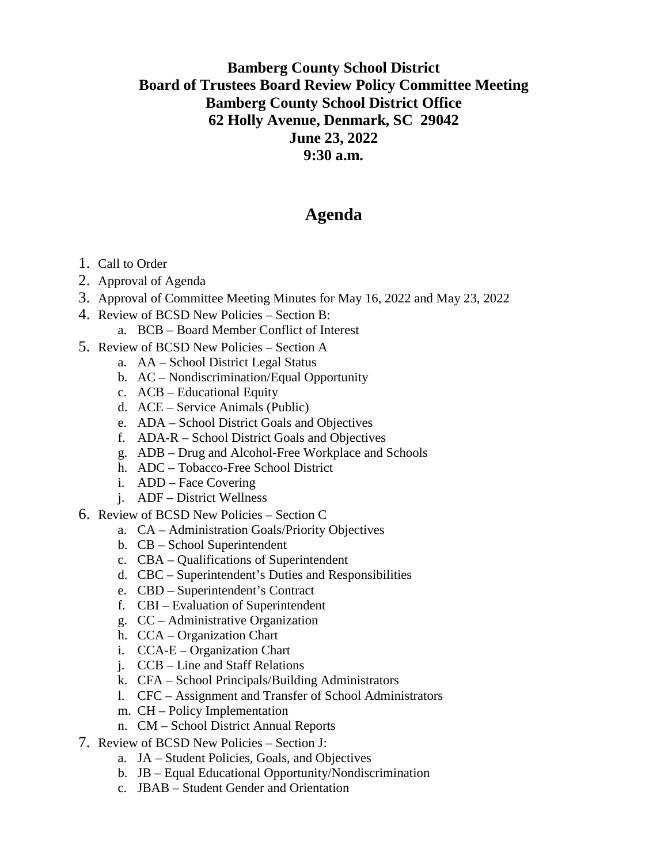## **Bamberg County School District Board of Trustees Board Review Policy Committee Meeting Bamberg County School District Office 62 Holly Avenue, Denmark, SC 29042 June 23, 2022 9:30 a.m.**

## **Agenda**

- 1. Call to Order
- 2. Approval of Agenda
- 3. Approval of Committee Meeting Minutes for May 16, 2022 and May 23, 2022
- 4. Review of BCSD New Policies Section B:
	- a. BCB Board Member Conflict of Interest
- 5. Review of BCSD New Policies Section A
	- a. AA School District Legal Status
	- b. AC Nondiscrimination/Equal Opportunity
	- c. ACB Educational Equity
	- d. ACE Service Animals (Public)
	- e. ADA School District Goals and Objectives
	- f. ADA-R School District Goals and Objectives
	- g. ADB Drug and Alcohol-Free Workplace and Schools
	- h. ADC Tobacco-Free School District
	- i. ADD Face Covering
	- j. ADF District Wellness
- 6. Review of BCSD New Policies Section C
	- a. CA Administration Goals/Priority Objectives
	- b. CB School Superintendent
	- c. CBA Qualifications of Superintendent
	- d. CBC Superintendent's Duties and Responsibilities
	- e. CBD Superintendent's Contract
	- f. CBI Evaluation of Superintendent
	- g. CC Administrative Organization
	- h. CCA Organization Chart
	- i. CCA-E Organization Chart
	- j. CCB Line and Staff Relations
	- k. CFA School Principals/Building Administrators
	- l. CFC Assignment and Transfer of School Administrators
	- m. CH Policy Implementation
	- n. CM School District Annual Reports
- 7. Review of BCSD New Policies Section J:
	- a. JA Student Policies, Goals, and Objectives
	- b. JB Equal Educational Opportunity/Nondiscrimination
	- c. JBAB Student Gender and Orientation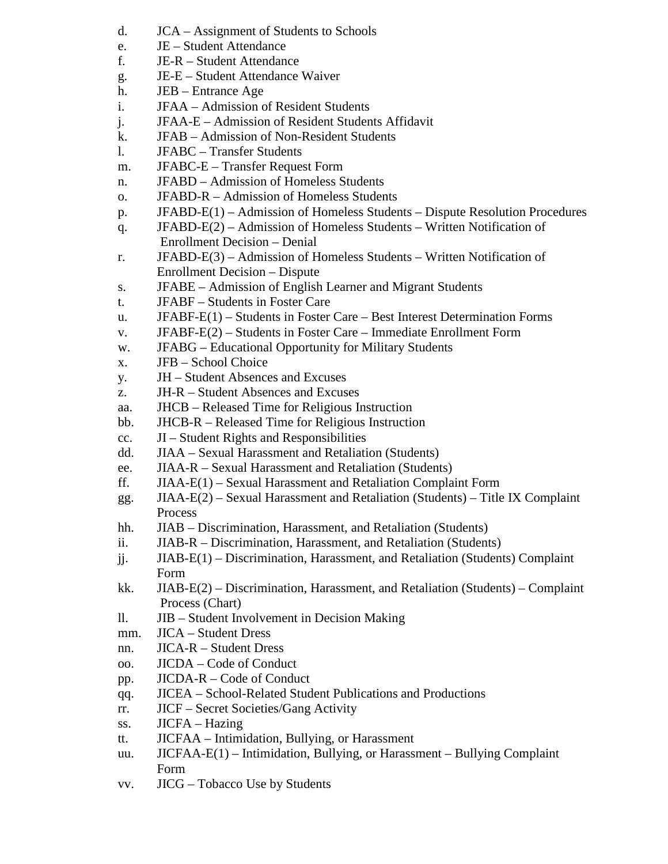- d. JCA Assignment of Students to Schools
- e. JE Student Attendance
- f. JE-R Student Attendance
- g. JE-E Student Attendance Waiver
- h. JEB Entrance Age
- i. JFAA Admission of Resident Students
- j. JFAA-E Admission of Resident Students Affidavit
- k. JFAB Admission of Non-Resident Students
- l. JFABC Transfer Students
- m. JFABC-E Transfer Request Form
- n. JFABD Admission of Homeless Students
- o. JFABD-R Admission of Homeless Students
- p. JFABD-E(1) Admission of Homeless Students Dispute Resolution Procedures
- q. JFABD-E(2) Admission of Homeless Students Written Notification of Enrollment Decision – Denial
- r. JFABD-E(3) Admission of Homeless Students Written Notification of Enrollment Decision – Dispute
- s. JFABE Admission of English Learner and Migrant Students
- t. JFABF Students in Foster Care
- u. JFABF-E(1) Students in Foster Care Best Interest Determination Forms
- v. JFABF-E(2) Students in Foster Care Immediate Enrollment Form
- w. JFABG Educational Opportunity for Military Students
- x. JFB School Choice
- y. JH Student Absences and Excuses
- z. JH-R Student Absences and Excuses
- aa. JHCB Released Time for Religious Instruction
- bb. JHCB-R Released Time for Religious Instruction
- cc. JI Student Rights and Responsibilities
- dd. JIAA Sexual Harassment and Retaliation (Students)
- ee. JIAA-R Sexual Harassment and Retaliation (Students)
- ff. JIAA-E(1) Sexual Harassment and Retaliation Complaint Form
- gg. JIAA-E(2) Sexual Harassment and Retaliation (Students) Title IX Complaint Process
- hh. JIAB Discrimination, Harassment, and Retaliation (Students)
- ii. JIAB-R Discrimination, Harassment, and Retaliation (Students)
- jj. JIAB-E(1) Discrimination, Harassment, and Retaliation (Students) Complaint Form
- kk. JIAB-E(2) Discrimination, Harassment, and Retaliation (Students) Complaint Process (Chart)
- ll. JIB Student Involvement in Decision Making
- mm. JICA Student Dress
- nn. JICA-R Student Dress
- oo. JICDA Code of Conduct
- pp. JICDA-R Code of Conduct
- qq. JICEA School-Related Student Publications and Productions
- rr. JICF Secret Societies/Gang Activity
- ss. JICFA Hazing
- tt. JICFAA Intimidation, Bullying, or Harassment
- uu. JICFAA-E(1) Intimidation, Bullying, or Harassment Bullying Complaint Form
- vv. JICG Tobacco Use by Students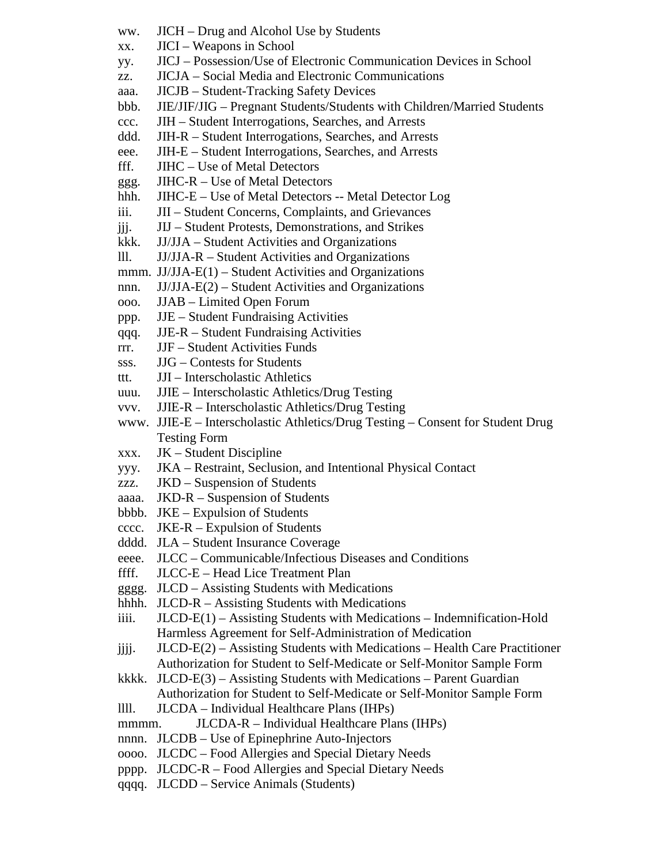- ww. JICH Drug and Alcohol Use by Students
- xx. JICI Weapons in School
- yy. JICJ Possession/Use of Electronic Communication Devices in School
- zz. JICJA Social Media and Electronic Communications
- aaa. JICJB Student-Tracking Safety Devices
- bbb. JIE/JIF/JIG Pregnant Students/Students with Children/Married Students
- ccc. JIH Student Interrogations, Searches, and Arrests
- ddd. JIH-R Student Interrogations, Searches, and Arrests
- eee. JIH-E Student Interrogations, Searches, and Arrests
- fff. JIHC Use of Metal Detectors
- ggg. JIHC-R Use of Metal Detectors
- hhh. JIHC-E Use of Metal Detectors -- Metal Detector Log
- iii. JII Student Concerns, Complaints, and Grievances
- jjj. JIJ Student Protests, Demonstrations, and Strikes
- kkk. JJ/JJA Student Activities and Organizations
- lll. JJ/JJA-R Student Activities and Organizations
- mmm.  $JJ/JJA-E(1) Student Activities and Organisation$
- nnn. JJ/JJA-E(2) Student Activities and Organizations
- ooo. JJAB Limited Open Forum
- ppp. JJE Student Fundraising Activities
- qqq. JJE-R Student Fundraising Activities
- rrr. JJF Student Activities Funds
- sss. JJG Contests for Students
- ttt. JJI Interscholastic Athletics
- uuu. JJIE Interscholastic Athletics/Drug Testing
- vvv. JJIE-R Interscholastic Athletics/Drug Testing
- www. JJIE-E Interscholastic Athletics/Drug Testing Consent for Student Drug Testing Form
- xxx. JK Student Discipline
- yyy. JKA Restraint, Seclusion, and Intentional Physical Contact
- zzz. JKD Suspension of Students
- aaaa. JKD-R Suspension of Students
- bbbb. JKE Expulsion of Students
- cccc. JKE-R Expulsion of Students
- dddd. JLA Student Insurance Coverage
- eeee. JLCC Communicable/Infectious Diseases and Conditions
- ffff. JLCC-E Head Lice Treatment Plan
- gggg. JLCD Assisting Students with Medications
- hhhh. JLCD-R Assisting Students with Medications
- iiii. JLCD-E(1) Assisting Students with Medications Indemnification-Hold Harmless Agreement for Self-Administration of Medication
- $j$ jjj. JLCD-E(2) Assisting Students with Medications Health Care Practitioner Authorization for Student to Self-Medicate or Self-Monitor Sample Form
- kkkk. JLCD-E(3) Assisting Students with Medications Parent Guardian Authorization for Student to Self-Medicate or Self-Monitor Sample Form
- llll. JLCDA Individual Healthcare Plans (IHPs)
- mmmm. JLCDA-R Individual Healthcare Plans (IHPs)
- nnnn. JLCDB Use of Epinephrine Auto-Injectors
- oooo. JLCDC Food Allergies and Special Dietary Needs
- pppp. JLCDC-R Food Allergies and Special Dietary Needs
- qqqq. JLCDD Service Animals (Students)